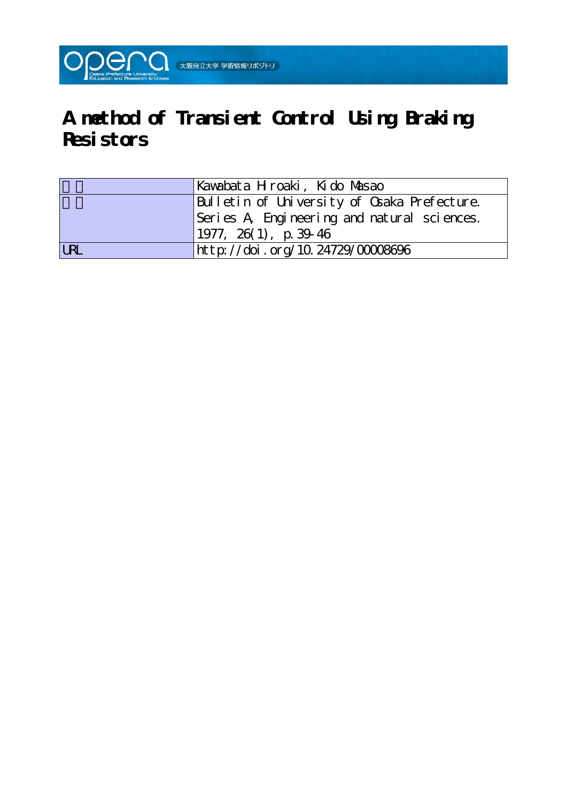

# **A method of Transient Control Using Braking Resistors**

|            | Kavabata Hroaki, Kido Masao                 |
|------------|---------------------------------------------|
|            | Bulletin of University of Osaka Prefecture. |
|            | Series A Engineering and natural sciences.  |
|            | $1977, 26(1)$ , p. 39-46                    |
| <b>LRL</b> | http://doi.org/10.24729/00008696            |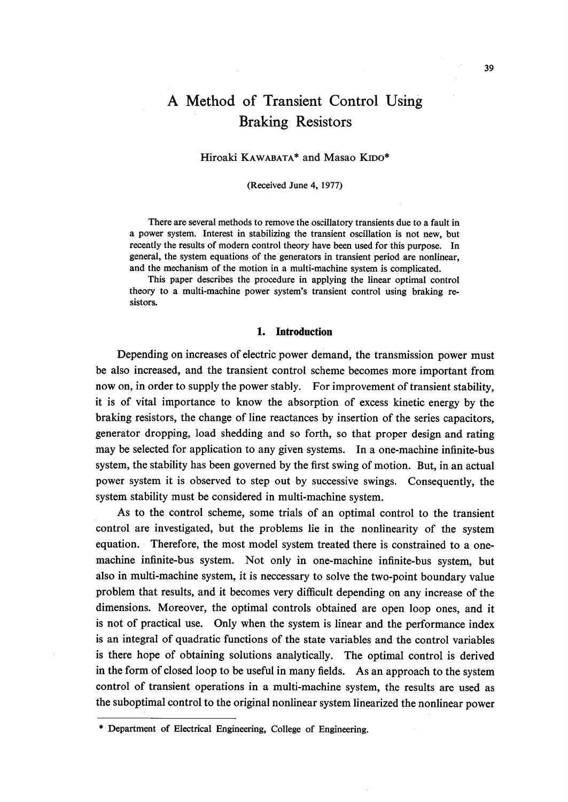# A Method of Transient Control Using Braking Resistors

# Hiroaki KAWABATA\* and Masao KIDO\*

(Received June 4, 1977)

 There are several methods to remove the oscillatory transients due to a fault in a power system. Interest in stabilizing the transient oscillation is not new, but recently the results of modern control theory have been used for this purpose. In general, the system equations of the generators in transient period are nonlinear, and the mechanism of the motion in a multi-machine system is complicated.

 This paper describes the procedure in applying the linear optima! control theory to a multi-machine power system's transient control using braking re sistors.

#### 1. lntroduction

Depending on increases of electric power demand, the transmission power must be also increased, and the transient control scheme becomes more important from now on, in order to supply the power stably. For improvement of transient stability, it is of vital importance to know the absorption of excess kinetic energy by the braking resistors, the change of line reactances by insertion of the series capacitors, generator dropping, load shedding and so fbrth, so that proper design and rating may be selected for application to any given systems. In a one-machine infinite-bus system, the stability has been governed by the first swing of motion. But, in an actual power system it is observed to step out by successive swings. Consequently, the system stability must be considered in multi-machine system.

 As to the control scheme, some trials of an optimal control to the transient control are investigated, but the problems lie in the nonlinearity of the system equation. Therefore, the most model system treated there is constrained to a onemachine infinite-bus system. Not only in one-machine infinite-bus system, but also in multi-machine system, it is neccessary to solve the two-point boundary value problem that results, and it becomes very difficult depending on any increase of the dimensions. Moreover, the optimal controls obtained are open loop ones, and it is not of practical use. Only when the system is linear and the performance index is an integral of quadratic functions of the state variables and the control variables is there hope of obtaining solutions analytically. The optimal control is derived in the form of closed loop to be useful in many fields. As an approach to the system control of transient operations in a multi-machine system, the results are used as the suboptimal control to the original nonlinear system linearized the nonlinear power

<sup>\*</sup> Department of Electrical Engineering, College of Engineering.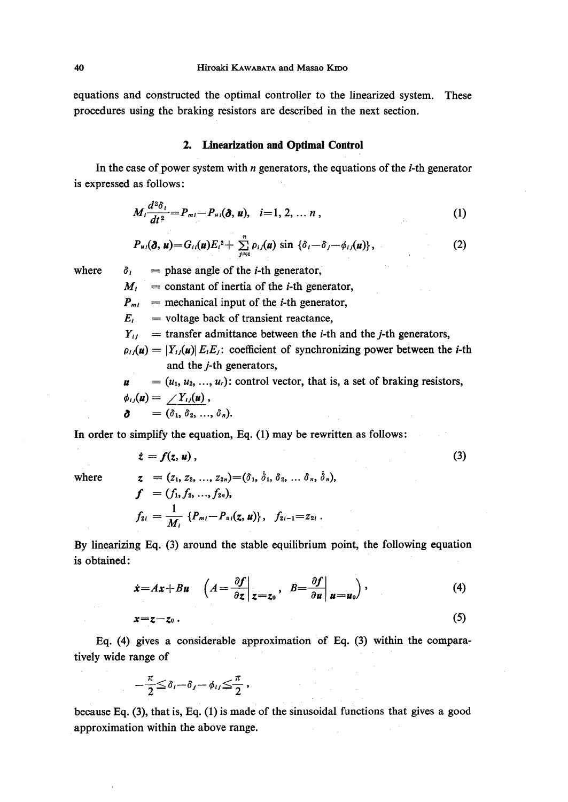equations and constructed the optimal controller to the linearized system. These procedures using the braking resistors are described in the next section.

#### 2. Linearization and Optimal Control

In the case of power system with *n* generators, the equations of the *i*-th generator is expressed as fo11ows:

$$
M_i \frac{d^2 \delta_i}{dt^2} = P_{mi} - P_{ui}(\partial, u), \quad i = 1, 2, ..., n,
$$
 (1)

$$
P_{u_i}(\boldsymbol{\delta},\boldsymbol{u})\!=\!G_{ii}(\boldsymbol{u})E_i{}^2+\sum_{j\approx i}^n\rho_{ij}(\boldsymbol{u})\sin\left\{\delta_i\!-\!\delta_j\!-\!\phi_{ij}(\boldsymbol{u})\right\},\qquad(2)
$$

where

 $\delta_i$  = phase angle of the *i*-th generator,

 $M_i$  = constant of inertia of the *i*-th generator,

 $P_{mi}$  = mechanical input of the *i*-th generator,

 $E_i$  = voltage back of transient reactance,

 $Y_{ij}$  = transfer admittance between the *i*-th and the *j*-th generators,

 $\rho_{ij}(u) = |Y_{ij}(u)| E_i E_j$ : coefficient of synchronizing power between the *i*-th and the j-th generators,

 $\mathbf{u} = (u_1, u_2, ..., u_r)$ : control vector, that is, a set of braking resistors,  $\phi_{ij}(u) = \; / Y_{ij}(u)$ ,  $\delta = (\delta_1, \delta_2, ..., \delta_n).$ 

In order to simplify the equation, Eq.  $(1)$  may be rewritten as follows:

$$
\dot{z} = f(z, u), \tag{3}
$$

where

$$
z = (z_1, z_2, ..., z_{2n}) = (\delta_1, \delta_1, \delta_2, ..., \delta_n, \delta_n),
$$
  
\n
$$
f = (f_1, f_2, ..., f_{2n}),
$$
  
\n
$$
f_{2i} = \frac{1}{M_i} \{P_{mi} - P_{ui}(\mathbf{z}, \mathbf{u})\}, \quad f_{2i-1} = z_{2i}.
$$

By linearizing Eq.  $(3)$  around the stable equilibrium point, the following equation is obtained:  $ed:$ 

$$
\dot{x} = Ax + Bu \quad \left( A = \frac{\partial f}{\partial z} \bigg|_{z = z_0}, \quad B = \frac{\partial f}{\partial u} \bigg|_{u = u_0} \right), \tag{4}
$$

$$
x=z-z_0.
$$
 (5)

Eq. (4) gives a considerable approximation of Eq. (3) within the comparatively wide range of

$$
-\frac{\pi}{2}\leq\delta_i-\delta_j-\phi_{ij}\leq\frac{\pi}{2}\;,
$$

because Eq. (3), that is, Eq. (1) is made of the sinusoidal functions that gives a good approximation within the above range.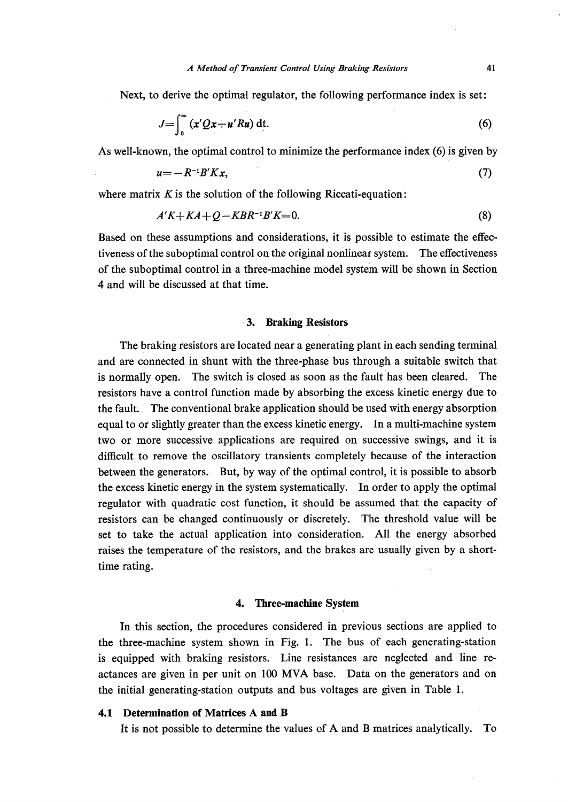Next, to derive the optimal regulator, the following performance index is set:

$$
J=\int_0^\infty \left(x'Qx+u'Ru\right)\mathrm{d}t.\tag{6}
$$

As well-known, the optimal control to minimize the performance index  $(6)$  is given by

$$
u = -R^{-1}B'Kx,\tag{7}
$$

where matrix  $K$  is the solution of the following Riccati-equation:

$$
A'K+KA+Q-KBR^{-1}B'K=0.
$$
\n(8)

Based on these assumptions and considerations, it is possible to estimate the effectiveness of the suboptimal control on the original nonlinear system. The effectiveness of the suboptimal control in a three--machine model system will be shown in Section 4 and will be discussed at that time.

#### 3. Braking Resistors

 The braking resistors are located near a generating plant in each sending terminal and are connected in shunt with the three-phase bus through a suitable switch that is normally open. The switch is closed as soon as the fault has been cleared. The resistors have a control function made by absorbing the excess kinetic energy due to the fault. The conventional brake application should be used with energy absorption equal to or slightly greater than the excess kinetic energy. In a multi-machine system two or more successive applications'are required on successive swings, and it is difficult to remove the oscillatory transients completely because of the interaction between the generators. But, by way of the optimal control, it is possible to absorb the excess kinetic energy in the system systematically. In order to apply the optimal regulator with quadratic cost function, it should be assumed that the capacity of resistors can be changed continuously or discretely. The threshold value will be set to take the actual application into consideration. All the energy absorbed raises the temperature of the resistors, and the brakes are usually given by a shorttime rating.

#### 4. Three-machine System

 In this section, the procedures considered in previous sections are applied to the three-machine system shown in Fig. 1. The bus of each generating-station is equipped with braking resistors. Line resistances are neglected and line reactances are given in per unit on 100 MVA base. Data on the generators and on the initial generating-station outputs and bus voltages are given in Table 1.

### 4.1 Determination of Matrices A and B

It is not possible to determine the values of A and B matrices analytically. To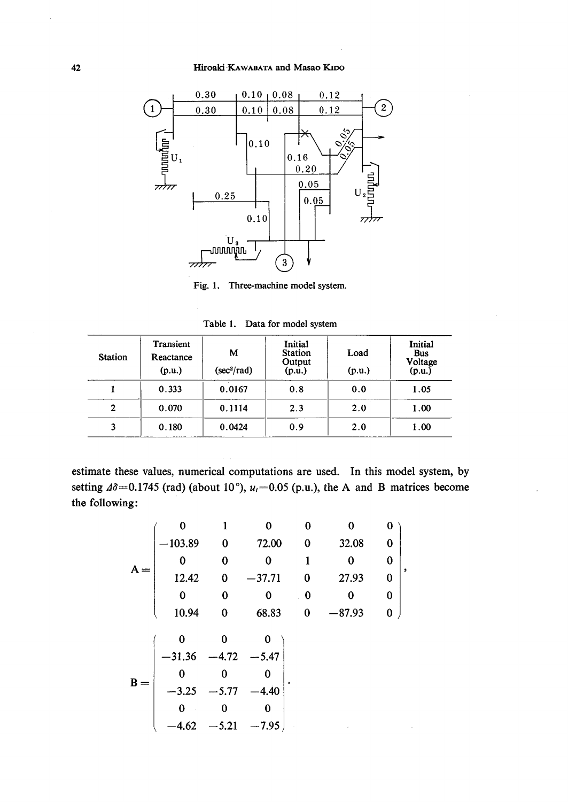

Fig. 1. Three-machine model system.

Table 1. Data for model system

| <b>Station</b> | Transient<br>Reactance<br>(p.u.) | М<br>$(\sec^2/\text{rad})$ | Initial<br><b>Station</b><br>Output<br>(p.u.) | Load<br>(p.u.) | Initial<br><b>Bus</b><br>Voltage<br>(p.u.) |  |
|----------------|----------------------------------|----------------------------|-----------------------------------------------|----------------|--------------------------------------------|--|
|                | 0.333                            | 0.0167                     | 0.8                                           | 0.0            | 1.05                                       |  |
| 2              | 0.070                            | 0.1114                     | 2.3                                           | 2.0            | 1.00                                       |  |
|                | 0.180                            | 0.0424                     | 0.9                                           | 2.0            | 1.00                                       |  |

estimate these values, numerical computations are used. In this model system, by setting  $\Delta\delta$  = 0.1745 (rad) (about 10°),  $u_i$  = 0.05 (p.u.), the A and B matrices become the following:

$$
A = \begin{pmatrix}\n0 & 1 & 0 & 0 & 0 & 0 \\
-103.89 & 0 & 72.00 & 0 & 32.08 & 0 \\
0 & 0 & 0 & 1 & 0 & 0 \\
12.42 & 0 & -37.71 & 0 & 27.93 & 0 \\
0 & 0 & 0 & 0 & 0 & 0 \\
10.94 & 0 & 68.83 & 0 & -87.93 & 0\n\end{pmatrix},
$$
\n
$$
B = \begin{pmatrix}\n0 & 0 & 0 & 0 \\
-31.36 & -4.72 & -5.47 \\
0 & 0 & 0 & 0 \\
-3.25 & -5.77 & -4.40 \\
0 & 0 & 0 & 0 \\
-4.62 & -5.21 & -7.95\n\end{pmatrix}.
$$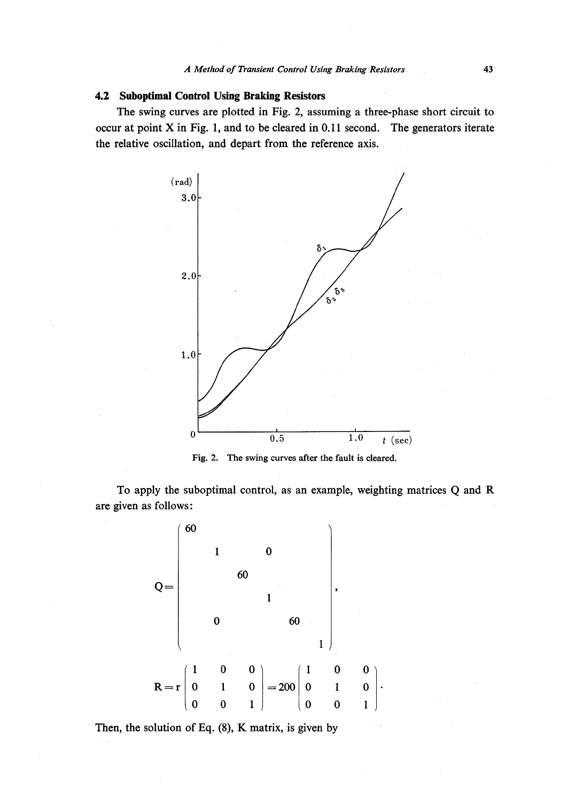# 4.2 Suboptimal Control Using Braking Resistors

The swing curves are plotted in Fig. 2, assuming a three-phase short circuit to occur at point  $X$  in Fig. 1, and to be cleared in 0.11 second. The generators iterate the relative oscillation, and depart from the reference axis.



Fig. 2. The swing curves after the fault is cleared.

To apply the suboptimal control, as an example, weighting matrices Q and R are given as follows:



Then, the solution of Eq. (8), K matrix, is given by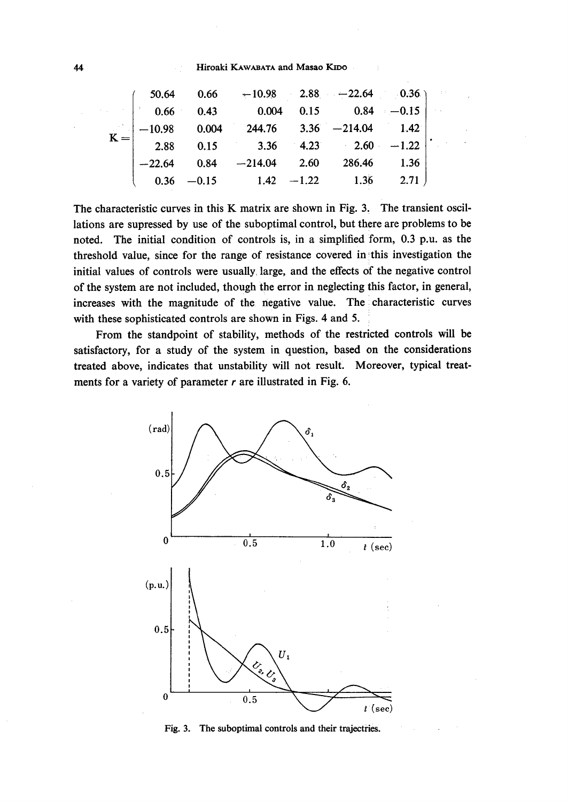#### 44 **Hiroaki KAWABATA** and Masao KIDO

|  | $\begin{pmatrix} 50.64 & 0.66 & -10.98 & 2.88 & -22.64 & 0.36 \\ 0.66 & 0.43 & 0.004 & 0.15 & 0.84 & -0.15 \end{pmatrix}$                                                           |  |  |
|--|-------------------------------------------------------------------------------------------------------------------------------------------------------------------------------------|--|--|
|  | $K = \begin{vmatrix} 0.00 & 0.02 & 0.02 \\ -10.98 & 0.004 & 244.76 & 3.36 & -214.04 & 1.42 \\ 2.88 & 0.15 & 3.36 & 4.23 & 2.60 & -1.22 \\ 0.60 & 0.15 & 0.62 & 0.62 \end{vmatrix}.$ |  |  |
|  |                                                                                                                                                                                     |  |  |
|  | $\begin{vmatrix} -22.64 & 0.84 & -214.04 & 2.60 & 286.46 & 1.36 \end{vmatrix}$                                                                                                      |  |  |
|  | $\begin{bmatrix} 0.36 & -0.15 & 1.42 & -1.22 & 1.36 & 2.71 \end{bmatrix}$                                                                                                           |  |  |

The characteristic curves in this K matrix are shown in Fig. 3. The transient oscillations are supressed by use of the suboptimal control, but there are problems to be noted. The initial condition of controls is, in a simplified form, O.3 p.u. as the threshold value, since for the range of resistance covered in this investigation the initial values of controls were usually, large, and the effects df the negative control of the system are not included, though the error in neglecting this factor, in general, increases with the magnitude of the negative value. The characteristic curves with these sophisticated controls are shown in Figs. 4 and 5.

 From the standpoint of stability, methods of the restricted controls will be satisfactory, for a study of the system in question, based on the considerations treated above, indicates that unstability will not result. Moreover, typical treatments for a variety of parameter  $r$  are illustrated in Fig. 6.



Fig. 3. The suboptimal controls and their trajectries.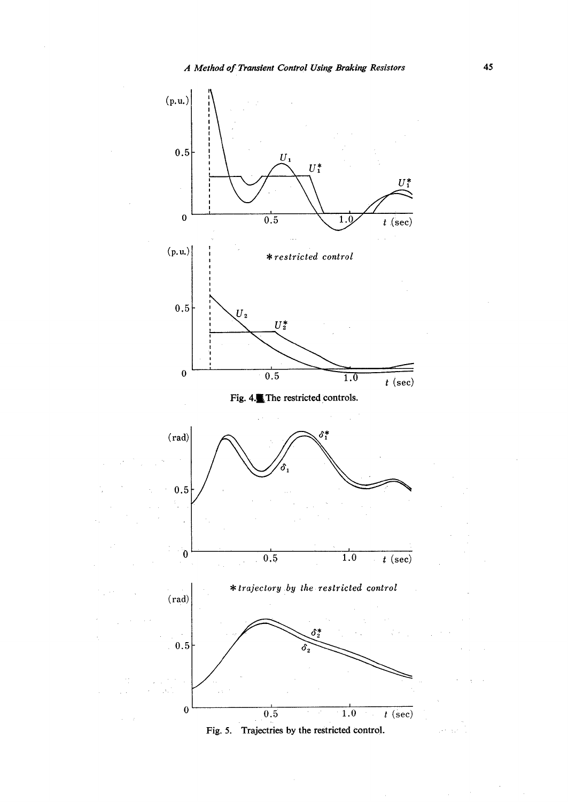